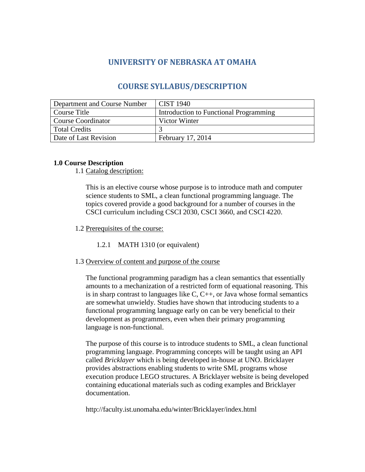# **UNIVERSITY OF NEBRASKA AT OMAHA**

## **COURSE SYLLABUS/DESCRIPTION**

| Department and Course Number | <b>CIST 1940</b>                       |
|------------------------------|----------------------------------------|
| Course Title                 | Introduction to Functional Programming |
| <b>Course Coordinator</b>    | Victor Winter                          |
| <b>Total Credits</b>         |                                        |
| Date of Last Revision        | February 17, 2014                      |

## **1.0 Course Description**

1.1 Catalog description:

This is an elective course whose purpose is to introduce math and computer science students to SML, a clean functional programming language. The topics covered provide a good background for a number of courses in the CSCI curriculum including CSCI 2030, CSCI 3660, and CSCI 4220.

1.2 Prerequisites of the course:

1.2.1 MATH 1310 (or equivalent)

1.3 Overview of content and purpose of the course

The functional programming paradigm has a clean semantics that essentially amounts to a mechanization of a restricted form of equational reasoning. This is in sharp contrast to languages like C, C++, or Java whose formal semantics are somewhat unwieldy. Studies have shown that introducing students to a functional programming language early on can be very beneficial to their development as programmers, even when their primary programming language is non-functional.

The purpose of this course is to introduce students to SML, a clean functional programming language. Programming concepts will be taught using an API called *Bricklayer* which is being developed in-house at UNO. Bricklayer provides abstractions enabling students to write SML programs whose execution produce LEGO structures. A Bricklayer website is being developed containing educational materials such as coding examples and Bricklayer documentation.

http://faculty.ist.unomaha.edu/winter/Bricklayer/index.html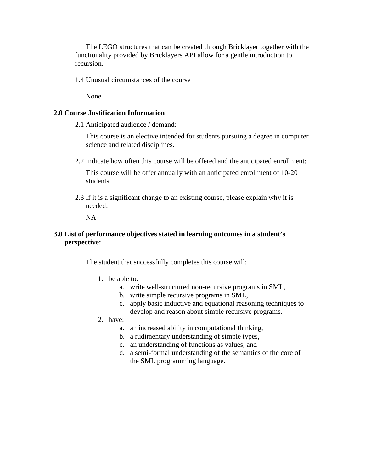The LEGO structures that can be created through Bricklayer together with the functionality provided by Bricklayers API allow for a gentle introduction to recursion.

1.4 Unusual circumstances of the course

None

## **2.0 Course Justification Information**

2.1 Anticipated audience / demand:

This course is an elective intended for students pursuing a degree in computer science and related disciplines.

2.2 Indicate how often this course will be offered and the anticipated enrollment:

This course will be offer annually with an anticipated enrollment of 10-20 students.

2.3 If it is a significant change to an existing course, please explain why it is needed:

NA

## **3.0 List of performance objectives stated in learning outcomes in a student's perspective:**

The student that successfully completes this course will:

- 1. be able to:
	- a. write well-structured non-recursive programs in SML,
	- b. write simple recursive programs in SML,
	- c. apply basic inductive and equational reasoning techniques to develop and reason about simple recursive programs.
- 2. have:
	- a. an increased ability in computational thinking,
	- b. a rudimentary understanding of simple types,
	- c. an understanding of functions as values, and
	- d. a semi-formal understanding of the semantics of the core of the SML programming language.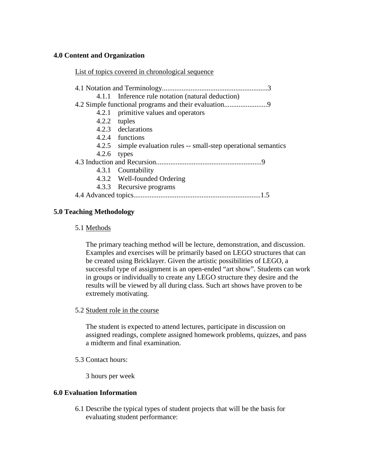## **4.0 Content and Organization**

List of topics covered in chronological sequence

|               | 4.1.1 Inference rule notation (natural deduction)                 |
|---------------|-------------------------------------------------------------------|
|               |                                                                   |
|               | 4.2.1 primitive values and operators                              |
|               | 4.2.2 tuples                                                      |
|               | 4.2.3 declarations                                                |
|               | 4.2.4 functions                                                   |
|               | 4.2.5 simple evaluation rules -- small-step operational semantics |
| $4.2.6$ types |                                                                   |
|               |                                                                   |
|               | 4.3.1 Countability                                                |
|               | 4.3.2 Well-founded Ordering                                       |
|               | 4.3.3 Recursive programs                                          |
|               |                                                                   |
|               |                                                                   |

## **5.0 Teaching Methodology**

#### 5.1 Methods

The primary teaching method will be lecture, demonstration, and discussion. Examples and exercises will be primarily based on LEGO structures that can be created using Bricklayer. Given the artistic possibilities of LEGO, a successful type of assignment is an open-ended "art show". Students can work in groups or individually to create any LEGO structure they desire and the results will be viewed by all during class. Such art shows have proven to be extremely motivating.

5.2 Student role in the course

The student is expected to attend lectures, participate in discussion on assigned readings, complete assigned homework problems, quizzes, and pass a midterm and final examination.

5.3 Contact hours:

3 hours per week

## **6.0 Evaluation Information**

6.1 Describe the typical types of student projects that will be the basis for evaluating student performance: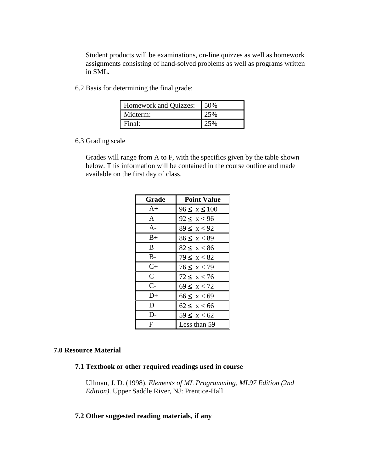Student products will be examinations, on-line quizzes as well as homework assignments consisting of hand-solved problems as well as programs written in SML.

6.2 Basis for determining the final grade:

| Homework and Quizzes: | 50% |
|-----------------------|-----|
| Midterm:              | 25% |
| l Final:              | 25% |

6.3 Grading scale

Grades will range from A to F, with the specifics given by the table shown below. This information will be contained in the course outline and made available on the first day of class.

| Grade                | <b>Point Value</b> |
|----------------------|--------------------|
| $A+$                 | $96 \le x \le 100$ |
| $\mathsf{A}$         | $92 \le x < 96$    |
| $A-$                 | $89 \le x < 92$    |
| $B+$                 | $86 \le x < 89$    |
| B.                   | $82 \le x < 86$    |
| B-                   | $79 \le x < 82$    |
| $C+$                 | $76 \le x < 79$    |
| $\mathcal{C}$        | $72 \le x < 76$    |
| $\mathsf{C}\text{-}$ | $69 \le x < 72$    |
| D+                   | $66 \le x < 69$    |
| D                    | $62 \leq x < 66$   |
| D-                   | $59 \le x < 62$    |
| F                    | Less than 59       |

#### **7.0 Resource Material**

#### **7.1 Textbook or other required readings used in course**

Ullman, J. D. (1998). *Elements of ML Programming, ML97 Edition (2nd Edition)*. Upper Saddle River, NJ: Prentice-Hall.

## **7.2 Other suggested reading materials, if any**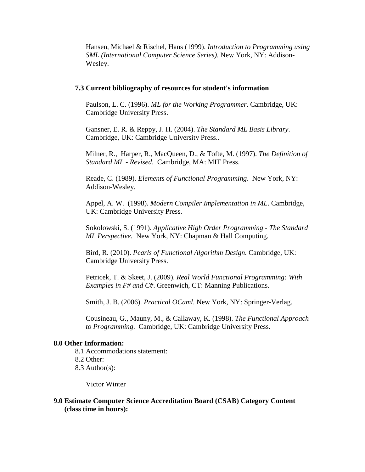Hansen, Michael & Rischel, Hans (1999). *Introduction to Programming using SML (International Computer Science Series)*. New York, NY: Addison-Wesley.

#### **7.3 Current bibliography of resources for student's information**

Paulson, L. C. (1996). *ML for the Working Programmer*. Cambridge, UK: Cambridge University Press.

Gansner, E. R. & Reppy, J. H. (2004). *The Standard ML Basis Library*. Cambridge, UK: Cambridge University Press..

Milner, R., Harper, R., MacQueen, D., & Tofte, M. (1997). *The Definition of Standard ML - Revised*. Cambridge, MA: MIT Press.

Reade, C. (1989). *Elements of Functional Programming*. New York, NY: Addison-Wesley.

Appel, A. W. (1998). *Modern Compiler Implementation in ML*. Cambridge, UK: Cambridge University Press.

Sokolowski, S. (1991). *Applicative High Order Programming - The Standard ML Perspective*. New York, NY: Chapman & Hall Computing.

Bird, R. (2010). *Pearls of Functional Algorithm Design.* Cambridge, UK: Cambridge University Press.

Petricek, T. & Skeet, J. (2009). *Real World Functional Programming: With Examples in F# and C#*. Greenwich, CT: Manning Publications.

Smith, J. B. (2006). *Practical OCaml*. New York, NY: Springer-Verlag.

Cousineau, G., Mauny, M., & Callaway, K. (1998). *The Functional Approach to Programming*. Cambridge, UK: Cambridge University Press.

## **8.0 Other Information:**

8.1 Accommodations statement:

- 8.2 Other:
- 8.3 Author(s):

Victor Winter

## **9.0 Estimate Computer Science Accreditation Board (CSAB) Category Content (class time in hours):**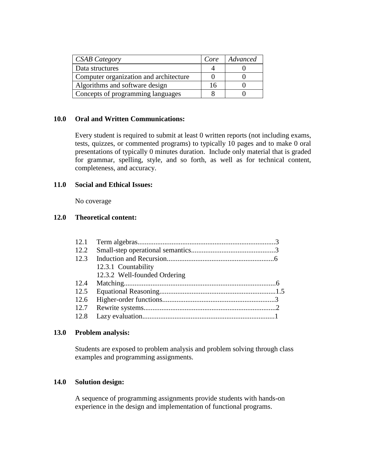| <b>CSAB</b> Category                   | Core | Advanced |
|----------------------------------------|------|----------|
| Data structures                        |      |          |
| Computer organization and architecture |      |          |
| Algorithms and software design         |      |          |
| Concepts of programming languages      |      |          |

#### **10.0 Oral and Written Communications:**

Every student is required to submit at least 0 written reports (not including exams, tests, quizzes, or commented programs) to typically 10 pages and to make 0 oral presentations of typically 0 minutes duration. Include only material that is graded for grammar, spelling, style, and so forth, as well as for technical content, completeness, and accuracy.

#### **11.0 Social and Ethical Issues:**

No coverage

## **12.0 Theoretical content:**

| 12.2 |                              |  |
|------|------------------------------|--|
| 12.3 |                              |  |
|      | 12.3.1 Countability          |  |
|      | 12.3.2 Well-founded Ordering |  |
| 12.4 |                              |  |
| 12.5 |                              |  |
| 12.6 |                              |  |
|      |                              |  |
|      |                              |  |

## **13.0 Problem analysis:**

Students are exposed to problem analysis and problem solving through class examples and programming assignments.

## **14.0 Solution design:**

A sequence of programming assignments provide students with hands-on experience in the design and implementation of functional programs.